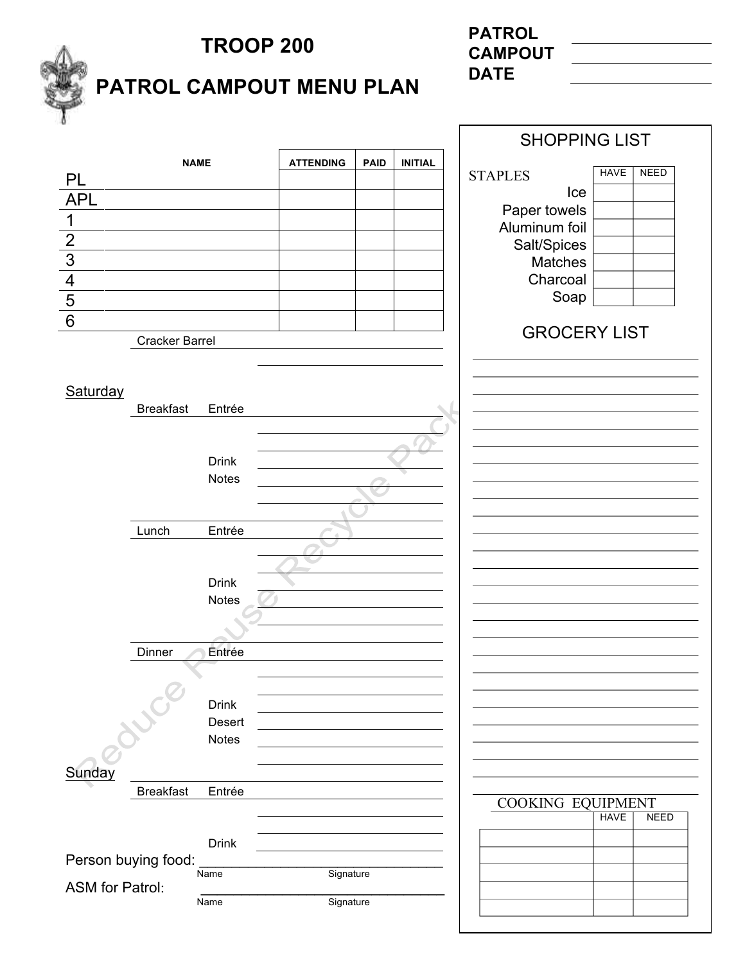|                                           | <b>TROOP 200</b><br>PATROL CAMPOUT MENU PLAN |                              |                  |             |                | <b>PATROL</b><br><b>CAMPOUT</b><br><b>DATE</b> |                            |  |
|-------------------------------------------|----------------------------------------------|------------------------------|------------------|-------------|----------------|------------------------------------------------|----------------------------|--|
|                                           |                                              |                              |                  |             |                |                                                |                            |  |
|                                           |                                              |                              |                  |             |                | <b>SHOPPING LIST</b>                           |                            |  |
|                                           |                                              | <b>NAME</b>                  | <b>ATTENDING</b> | <b>PAID</b> | <b>INITIAL</b> | <b>STAPLES</b>                                 | <b>HAVE</b><br><b>NEED</b> |  |
| PL<br><b>APL</b>                          |                                              |                              |                  |             |                | Ice                                            |                            |  |
| 1                                         |                                              |                              |                  |             |                | Paper towels                                   |                            |  |
|                                           |                                              |                              |                  |             |                | Aluminum foil<br>Salt/Spices                   |                            |  |
| $\frac{2}{3}$ $\frac{4}{5}$ $\frac{5}{6}$ |                                              |                              |                  |             |                | Matches                                        |                            |  |
|                                           |                                              |                              |                  |             |                | Charcoal                                       |                            |  |
|                                           |                                              |                              |                  |             |                | Soap                                           |                            |  |
|                                           | <b>Cracker Barrel</b>                        |                              |                  |             |                | <b>GROCERY LIST</b>                            |                            |  |
|                                           |                                              |                              |                  |             |                |                                                |                            |  |
|                                           |                                              |                              |                  |             |                |                                                |                            |  |
| Saturday                                  | <b>Breakfast</b>                             | Entrée                       |                  |             |                |                                                |                            |  |
|                                           |                                              |                              |                  |             |                |                                                |                            |  |
|                                           |                                              |                              |                  |             |                |                                                |                            |  |
|                                           |                                              | <b>Drink</b><br><b>Notes</b> |                  |             |                |                                                |                            |  |
|                                           |                                              |                              |                  |             |                |                                                |                            |  |
|                                           |                                              |                              |                  |             |                |                                                |                            |  |
|                                           | Lunch                                        | Entrée                       |                  |             |                |                                                |                            |  |
|                                           |                                              |                              |                  |             |                |                                                |                            |  |
|                                           |                                              | <b>Drink</b>                 |                  |             |                |                                                |                            |  |
|                                           |                                              | Notes                        |                  |             |                |                                                |                            |  |
|                                           |                                              |                              |                  |             |                |                                                |                            |  |
|                                           | Dinner                                       | Entrée                       |                  |             |                |                                                |                            |  |
|                                           |                                              |                              |                  |             |                |                                                |                            |  |
|                                           |                                              | <b>Drink</b>                 |                  |             |                |                                                |                            |  |
|                                           |                                              | Desert                       |                  |             |                |                                                |                            |  |
|                                           |                                              | Notes                        |                  |             |                |                                                |                            |  |
| Sunday                                    |                                              |                              |                  |             |                |                                                |                            |  |
|                                           | <b>Breakfast</b>                             | Entrée                       |                  |             |                | COOKING EQUIPMENT                              |                            |  |
|                                           |                                              |                              |                  |             |                |                                                | <b>HAVE</b><br><b>NEED</b> |  |
|                                           |                                              | <b>Drink</b>                 |                  |             |                |                                                |                            |  |
|                                           | Person buying food:                          | Name                         | Signature        |             |                |                                                |                            |  |
| <b>ASM</b> for Patrol:                    |                                              |                              |                  |             |                |                                                |                            |  |
|                                           |                                              | Name                         | Signature        |             |                |                                                |                            |  |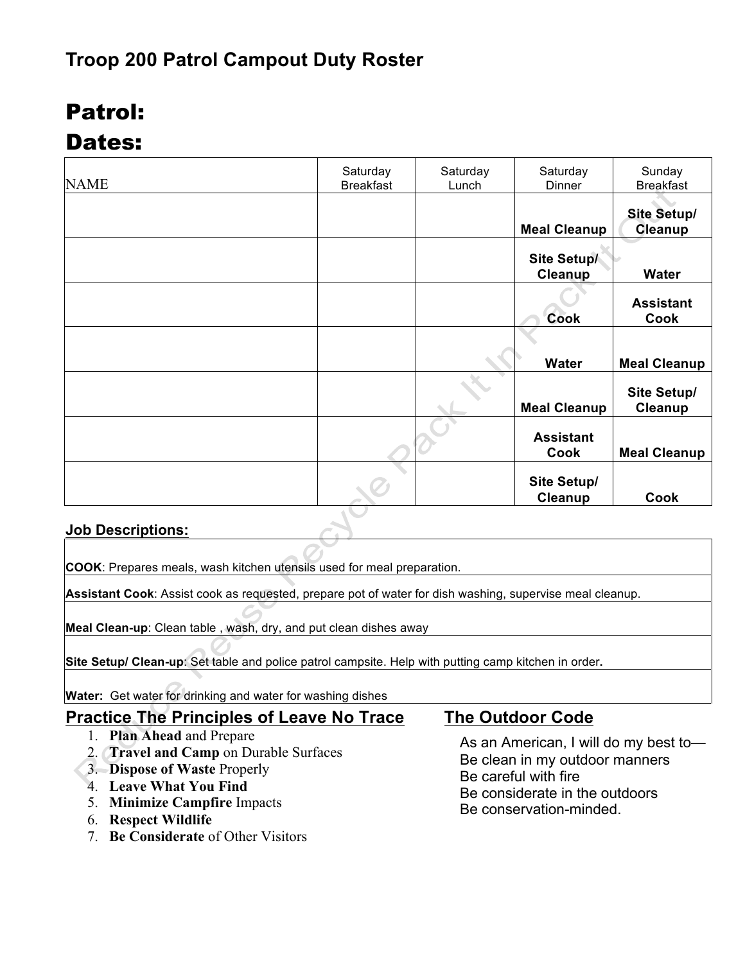## **Troop 200 Patrol Campout Duty Roster**

# Patrol:

### Dates:

| <b>NAME</b> | Saturday<br><b>Breakfast</b> | Saturday<br>Lunch | Saturday<br><b>Dinner</b> | Sunday<br><b>Breakfast</b>           |
|-------------|------------------------------|-------------------|---------------------------|--------------------------------------|
|             |                              |                   | <b>Meal Cleanup</b>       | <b>Site Setup/</b><br><b>Cleanup</b> |
|             |                              |                   | Site Setup/<br>Cleanup    | Water                                |
|             |                              |                   | <b>Cook</b>               | <b>Assistant</b><br>Cook             |
|             |                              |                   | <b>Water</b>              | <b>Meal Cleanup</b>                  |
|             |                              |                   | <b>Meal Cleanup</b>       | Site Setup/<br>Cleanup               |
|             |                              |                   | <b>Assistant</b><br>Cook  | <b>Meal Cleanup</b>                  |
|             |                              |                   | Site Setup/<br>Cleanup    | Cook                                 |

#### **Job Descriptions:**

**COOK**: Prepares meals, wash kitchen utensils used for meal preparation.

**Assistant Cook**: Assist cook as requested, prepare pot of water for dish washing, supervise meal cleanup.

**Meal Clean-up**: Clean table , wash, dry, and put clean dishes away

**Site Setup/ Clean-up**: Set table and police patrol campsite. Help with putting camp kitchen in order**.**

**Water:** Get water for drinking and water for washing dishes

#### **Practice The Principles of Leave No Trace**

- 1. **Plan Ahead** and Prepare
- 2. **Travel and Camp** on Durable Surfaces
- 3. **Dispose of Waste** Properly
- 4. **Leave What You Find**
- 5. **Minimize Campfire** Impacts
- 6. **Respect Wildlife**
- 7. **Be Considerate** of Other Visitors

**The Outdoor Code**

As an American, I will do my best to— Be clean in my outdoor manners Be careful with fire Be considerate in the outdoors Be conservation-minded.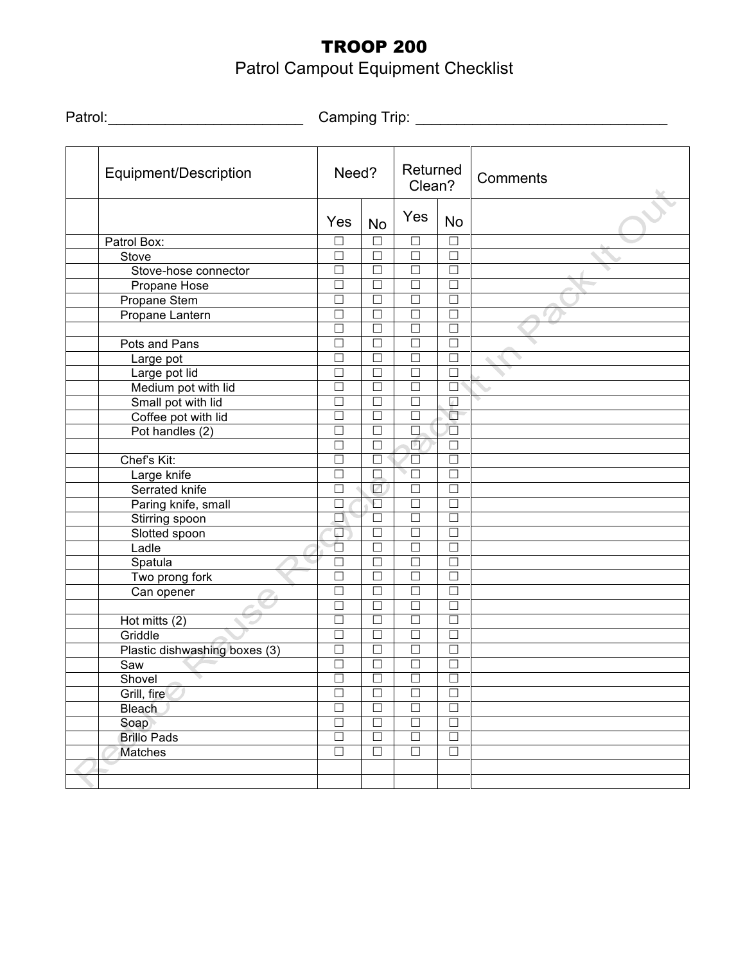### TROOP 200 Patrol Campout Equipment Checklist

Patrol:\_\_\_\_\_\_\_\_\_\_\_\_\_\_\_\_\_\_\_\_\_\_\_\_ Camping Trip: \_\_\_\_\_\_\_\_\_\_\_\_\_\_\_\_\_\_\_\_\_\_\_\_\_\_\_\_\_\_\_

| Equipment/Description         |          | Need?                   |                   | Returned<br>Clean? | Comments |
|-------------------------------|----------|-------------------------|-------------------|--------------------|----------|
|                               | Yes      | <b>No</b>               | Yes               | <b>No</b>          |          |
| Patrol Box:                   | $\Box$   | $\Box$                  | $\Box$            | $\Box$             |          |
| Stove                         | $\Box$   | $\Box$                  | $\overline{\Box}$ | $\Box$             |          |
| Stove-hose connector          | $\Box$   | $\Box$                  | $\Box$            | $\Box$             |          |
| Propane Hose                  | $\Box$   | $\Box$                  | $\Box$            | $\Box$             |          |
| Propane Stem                  | $\Box$   | $\Box$                  | $\Box$            | $\Box$             |          |
| Propane Lantern               | $\Box$   | $\Box$                  | $\Box$            | $\Box$             |          |
|                               | $\Box$   | $\Box$                  | $\Box$            | $\Box$             |          |
| Pots and Pans                 | $\Box$   | $\Box$                  | $\Box$            | $\Box$             |          |
| Large pot                     | $\Box$   | $\Box$                  | $\Box$            | $\Box$             |          |
| Large pot lid                 | $\Box$   | $\Box$                  | $\Box$            | $\Box$             |          |
| Medium pot with lid           | $\Box$   | $\Box$                  | $\Box$            | $\Box$             |          |
| Small pot with lid            | $\Box$   | $\Box$                  | $\Box$            | $\overline{a}$     |          |
| Coffee pot with lid           | П        | $\Box$                  | $\Box$            | $\overline{\Box}$  |          |
| Pot handles (2)               | $\Box$   | $\Box$                  | П                 | $\Box$             |          |
|                               | П        | $\Box$                  | Ū                 | $\Box$             |          |
| Chef's Kit:                   | П        | $\Box$                  | П                 | $\Box$             |          |
| Large knife                   | $\Box$   | $\Box$                  | $\overline{\Box}$ | $\Box$             |          |
| Serrated knife                | $\Box$   | $\overline{\mathbb{Z}}$ | $\Box$            | $\Box$             |          |
| Paring knife, small           | П        | Ó                       | $\Box$            | $\Box$             |          |
| Stirring spoon                | П        | $\Box$                  | $\Box$            | $\Box$             |          |
| Slotted spoon                 | $\Delta$ | $\Box$                  | $\Box$            | $\Box$             |          |
| Ladle                         | $\Box$   | $\Box$                  | $\Box$            | $\Box$             |          |
| Spatula                       |          | $\Box$                  | $\Box$            | $\Box$             |          |
| Two prong fork                | П        | $\Box$                  | $\Box$            | $\Box$             |          |
| Can opener                    |          | $\Box$                  | $\Box$            | $\Box$             |          |
|                               | $\Box$   | $\Box$                  | $\Box$            | $\Box$             |          |
| Hot mitts $(2)$               | $\Box$   | $\Box$                  | $\overline{\Box}$ | $\Box$             |          |
| Griddle                       | $\Box$   | $\Box$                  | $\overline{\Box}$ | $\Box$             |          |
| Plastic dishwashing boxes (3) | $\Box$   | $\Box$                  | $\Box$            | $\Box$             |          |
| Saw                           | $\Box$   | $\Box$                  | $\Box$            | $\Box$             |          |
| Shovel                        | $\Box$   | $\Box$                  | $\Box$            | $\Box$             |          |
| Grill, fire                   | $\Box$   | $\Box$                  | $\Box$            | $\Box$             |          |
| <b>Bleach</b>                 | $\Box$   | $\Box$                  | $\Box$            | $\Box$             |          |
| Soap                          | $\Box$   | $\Box$                  | $\Box$            | $\Box$             |          |
| <b>Brillo Pads</b>            | $\Box$   | $\Box$                  | $\Box$            | $\Box$             |          |
| Matches                       | $\Box$   | $\Box$                  | $\Box$            | $\Box$             |          |
|                               |          |                         |                   |                    |          |
|                               |          |                         |                   |                    |          |